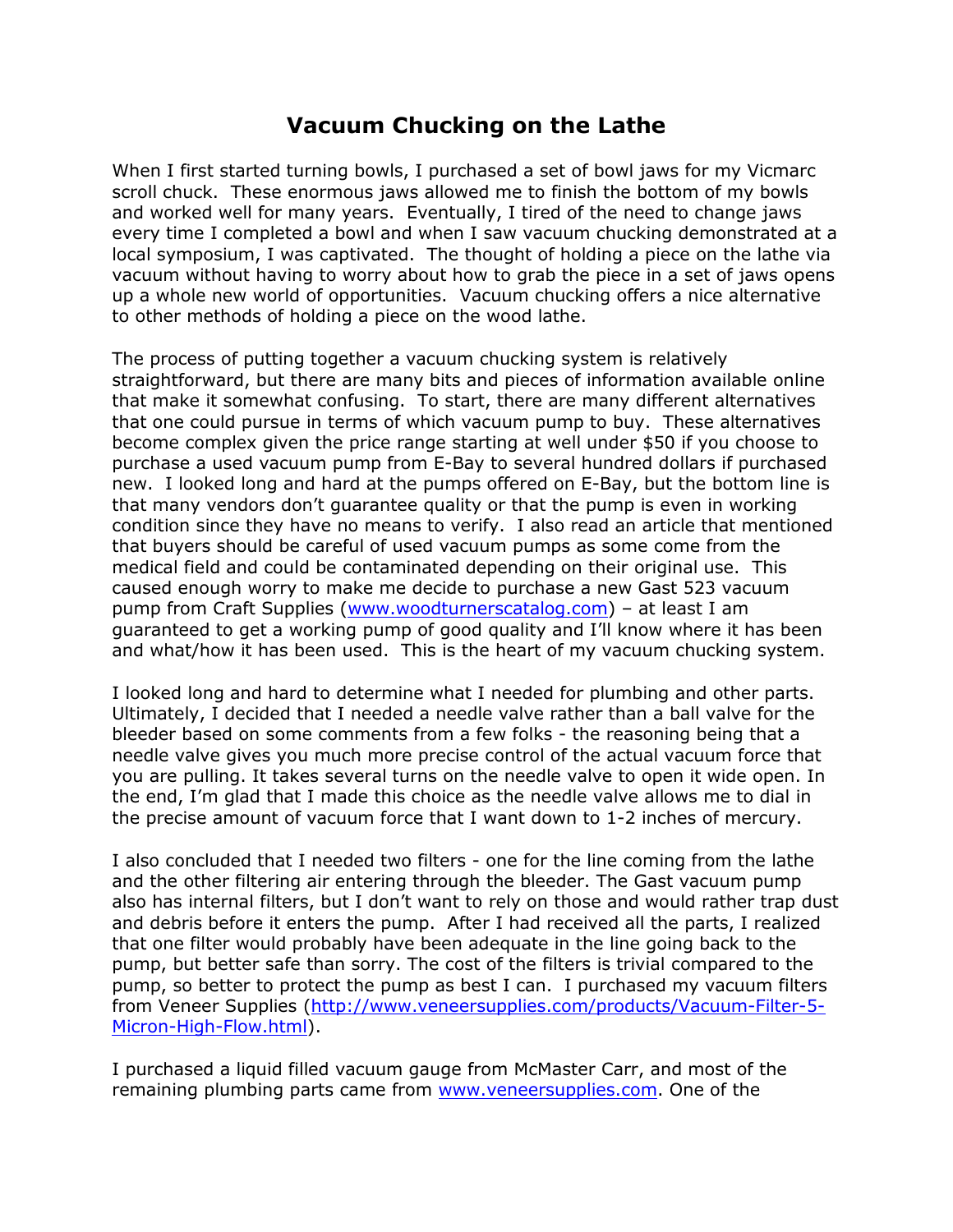## **Vacuum Chucking on the Lathe**

When I first started turning bowls, I purchased a set of bowl jaws for my Vicmarc scroll chuck. These enormous jaws allowed me to finish the bottom of my bowls and worked well for many years. Eventually, I tired of the need to change jaws every time I completed a bowl and when I saw vacuum chucking demonstrated at a local symposium, I was captivated. The thought of holding a piece on the lathe via vacuum without having to worry about how to grab the piece in a set of jaws opens up a whole new world of opportunities. Vacuum chucking offers a nice alternative to other methods of holding a piece on the wood lathe.

The process of putting together a vacuum chucking system is relatively straightforward, but there are many bits and pieces of information available online that make it somewhat confusing. To start, there are many different alternatives that one could pursue in terms of which vacuum pump to buy. These alternatives become complex given the price range starting at well under \$50 if you choose to purchase a used vacuum pump from E-Bay to several hundred dollars if purchased new. I looked long and hard at the pumps offered on E-Bay, but the bottom line is that many vendors don't guarantee quality or that the pump is even in working condition since they have no means to verify. I also read an article that mentioned that buyers should be careful of used vacuum pumps as some come from the medical field and could be contaminated depending on their original use. This caused enough worry to make me decide to purchase a new Gast 523 vacuum pump from Craft Supplies [\(www.woodturnerscatalog.com\)](www.woodturnerscatalog.com) – at least I am guaranteed to get a working pump of good quality and I'll know where it has been and what/how it has been used. This is the heart of my vacuum chucking system.

I looked long and hard to determine what I needed for plumbing and other parts. Ultimately, I decided that I needed a needle valve rather than a ball valve for the bleeder based on some comments from a few folks - the reasoning being that a needle valve gives you much more precise control of the actual vacuum force that you are pulling. It takes several turns on the needle valve to open it wide open. In the end, I'm glad that I made this choice as the needle valve allows me to dial in the precise amount of vacuum force that I want down to 1-2 inches of mercury.

I also concluded that I needed two filters - one for the line coming from the lathe and the other filtering air entering through the bleeder. The Gast vacuum pump also has internal filters, but I don't want to rely on those and would rather trap dust and debris before it enters the pump. After I had received all the parts, I realized that one filter would probably have been adequate in the line going back to the pump, but better safe than sorry. The cost of the filters is trivial compared to the pump, so better to protect the pump as best I can. I purchased my vacuum filters from Veneer Supplies [\(http://www.veneersupplies.com/products/Vacuum-Filter-5-](http://www.veneersupplies.com/products/Vacuum-Filter-5-Micron-High-Flow.html) [Micron-High-Flow.html\)](http://www.veneersupplies.com/products/Vacuum-Filter-5-Micron-High-Flow.html).

I purchased a liquid filled vacuum gauge from McMaster Carr, and most of the remaining plumbing parts came from [www.veneersupplies.com.](http://www.veneersupplies.com/) One of the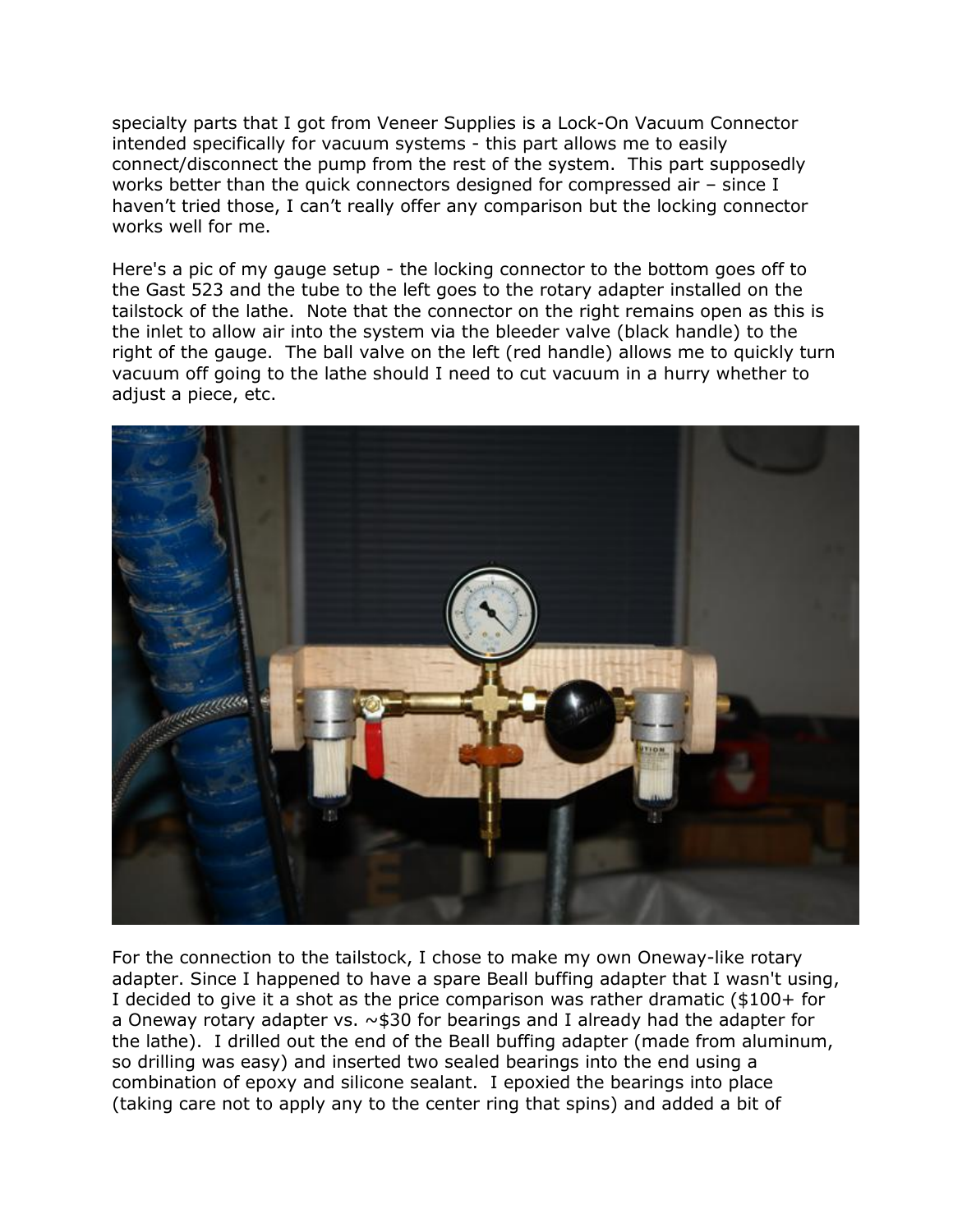specialty parts that I got from Veneer Supplies is a Lock-On Vacuum Connector intended specifically for vacuum systems - this part allows me to easily connect/disconnect the pump from the rest of the system. This part supposedly works better than the quick connectors designed for compressed air – since I haven't tried those, I can't really offer any comparison but the locking connector works well for me.

Here's a pic of my gauge setup - the locking connector to the bottom goes off to the Gast 523 and the tube to the left goes to the rotary adapter installed on the tailstock of the lathe. Note that the connector on the right remains open as this is the inlet to allow air into the system via the bleeder valve (black handle) to the right of the gauge. The ball valve on the left (red handle) allows me to quickly turn vacuum off going to the lathe should I need to cut vacuum in a hurry whether to adjust a piece, etc.



For the connection to the tailstock, I chose to make my own Oneway-like rotary adapter. Since I happened to have a spare Beall buffing adapter that I wasn't using, I decided to give it a shot as the price comparison was rather dramatic (\$100+ for a Oneway rotary adapter vs. ~\$30 for bearings and I already had the adapter for the lathe). I drilled out the end of the Beall buffing adapter (made from aluminum, so drilling was easy) and inserted two sealed bearings into the end using a combination of epoxy and silicone sealant. I epoxied the bearings into place (taking care not to apply any to the center ring that spins) and added a bit of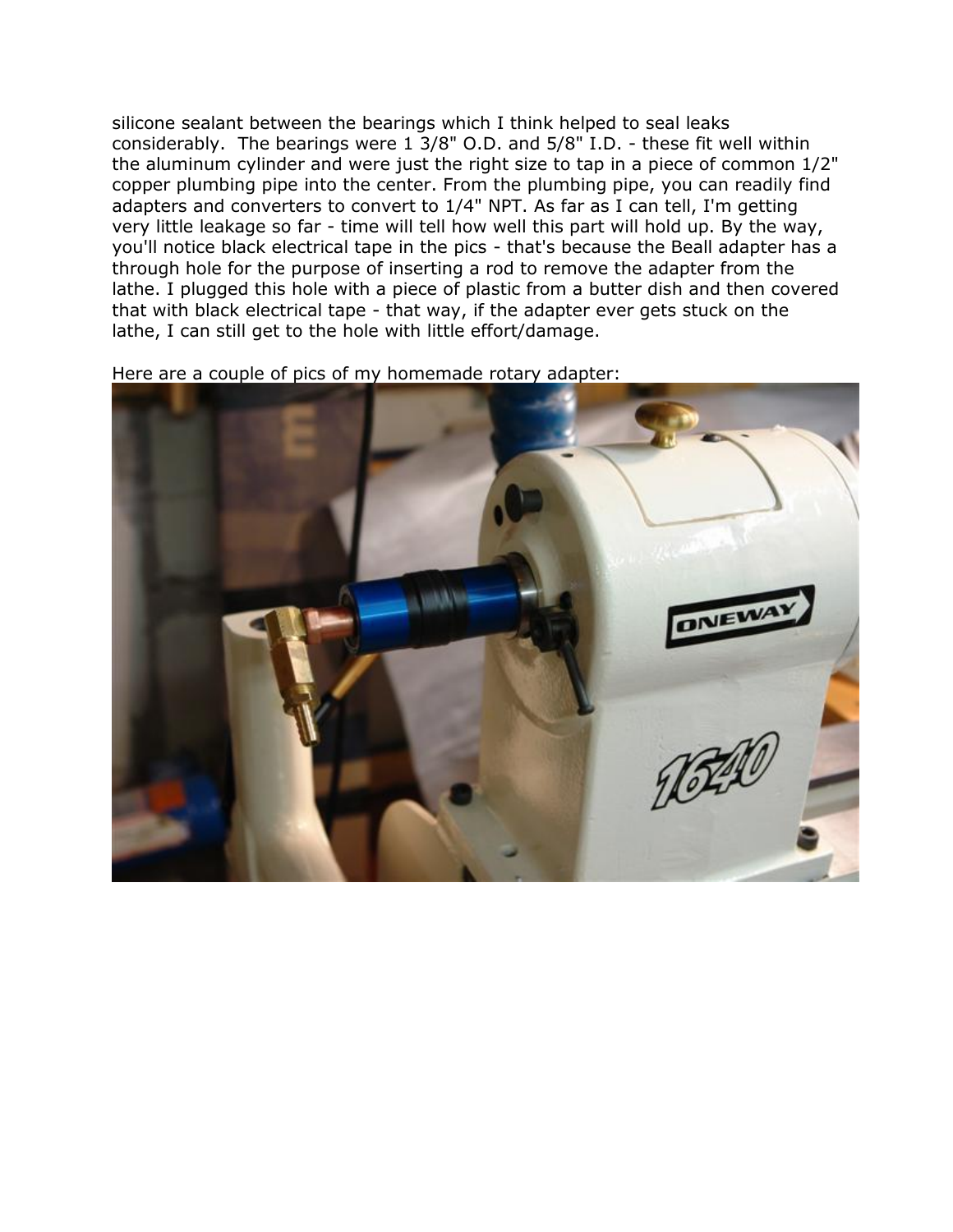silicone sealant between the bearings which I think helped to seal leaks considerably. The bearings were 1 3/8" O.D. and 5/8" I.D. - these fit well within the aluminum cylinder and were just the right size to tap in a piece of common 1/2" copper plumbing pipe into the center. From the plumbing pipe, you can readily find adapters and converters to convert to 1/4" NPT. As far as I can tell, I'm getting very little leakage so far - time will tell how well this part will hold up. By the way, you'll notice black electrical tape in the pics - that's because the Beall adapter has a through hole for the purpose of inserting a rod to remove the adapter from the lathe. I plugged this hole with a piece of plastic from a butter dish and then covered that with black electrical tape - that way, if the adapter ever gets stuck on the lathe, I can still get to the hole with little effort/damage.

Here are a couple of pics of my homemade rotary adapter:

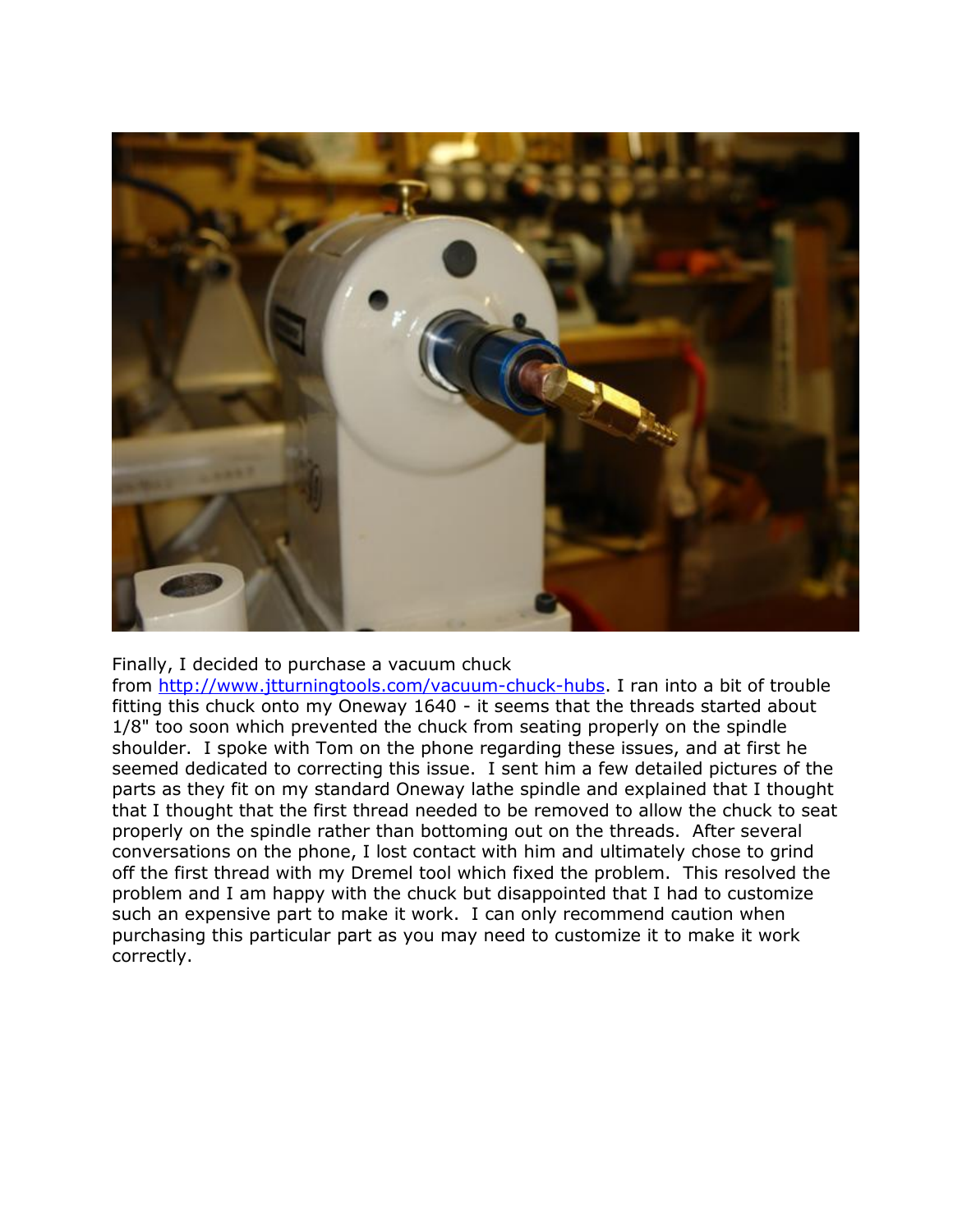

Finally, I decided to purchase a vacuum chuck

from [http://www.jtturningtools.com/vacuum-chuck-hubs.](http://www.jtturningtools.com/vacuum-chuck-hubs) I ran into a bit of trouble fitting this chuck onto my Oneway 1640 - it seems that the threads started about 1/8" too soon which prevented the chuck from seating properly on the spindle shoulder. I spoke with Tom on the phone regarding these issues, and at first he seemed dedicated to correcting this issue. I sent him a few detailed pictures of the parts as they fit on my standard Oneway lathe spindle and explained that I thought that I thought that the first thread needed to be removed to allow the chuck to seat properly on the spindle rather than bottoming out on the threads. After several conversations on the phone, I lost contact with him and ultimately chose to grind off the first thread with my Dremel tool which fixed the problem. This resolved the problem and I am happy with the chuck but disappointed that I had to customize such an expensive part to make it work. I can only recommend caution when purchasing this particular part as you may need to customize it to make it work correctly.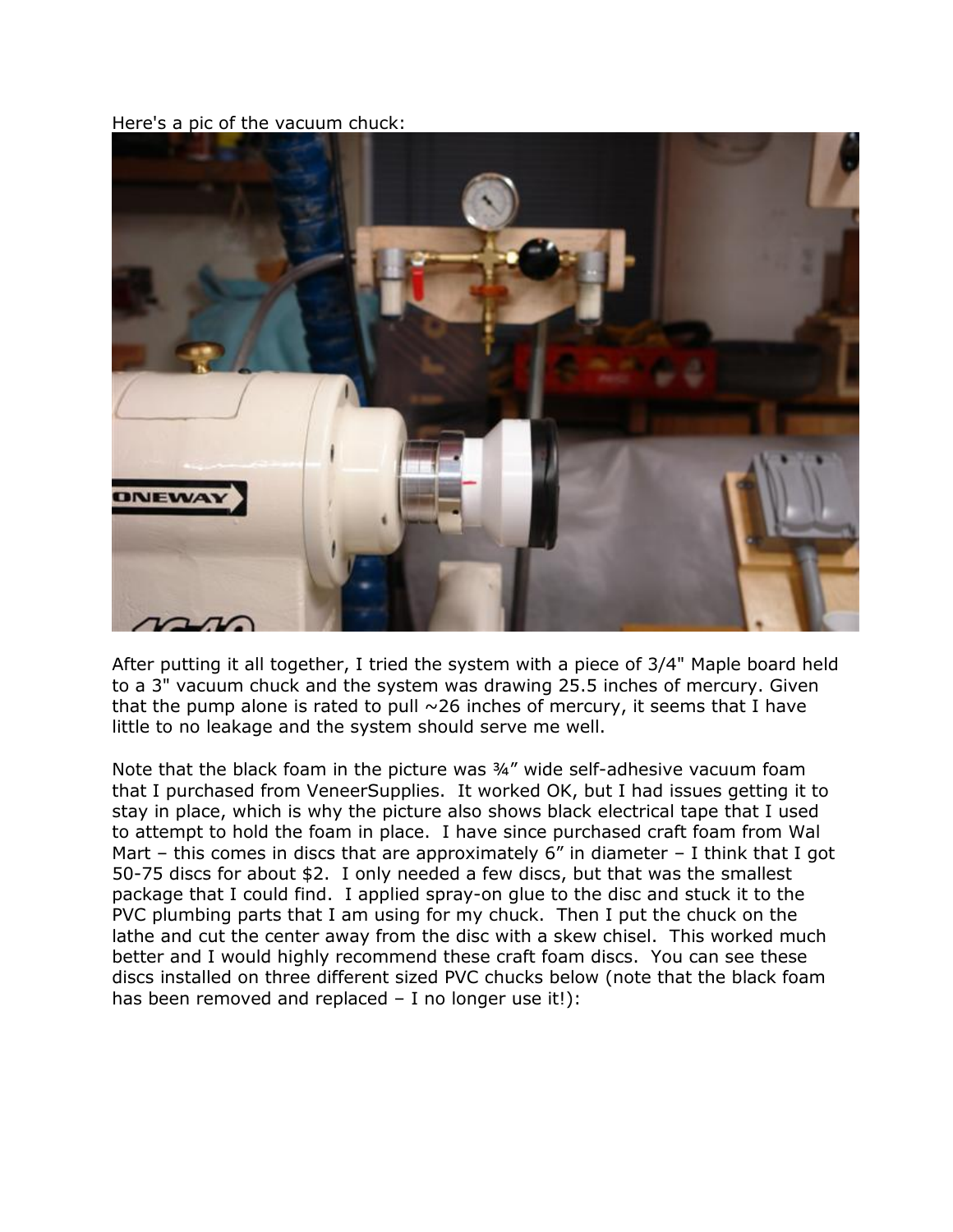Here's a pic of the vacuum chuck:



After putting it all together, I tried the system with a piece of 3/4" Maple board held to a 3" vacuum chuck and the system was drawing 25.5 inches of mercury. Given that the pump alone is rated to pull  $\sim$  26 inches of mercury, it seems that I have little to no leakage and the system should serve me well.

Note that the black foam in the picture was ¾" wide self-adhesive vacuum foam that I purchased from VeneerSupplies. It worked OK, but I had issues getting it to stay in place, which is why the picture also shows black electrical tape that I used to attempt to hold the foam in place. I have since purchased craft foam from Wal Mart – this comes in discs that are approximately  $6''$  in diameter – I think that I got 50-75 discs for about \$2. I only needed a few discs, but that was the smallest package that I could find. I applied spray-on glue to the disc and stuck it to the PVC plumbing parts that I am using for my chuck. Then I put the chuck on the lathe and cut the center away from the disc with a skew chisel. This worked much better and I would highly recommend these craft foam discs. You can see these discs installed on three different sized PVC chucks below (note that the black foam has been removed and replaced - I no longer use it!):